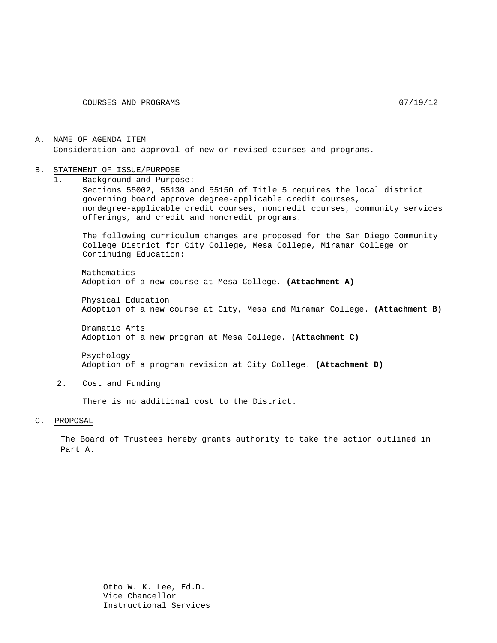A. NAME OF AGENDA ITEM Consideration and approval of new or revised courses and programs.

#### B. STATEMENT OF ISSUE/PURPOSE

1. Background and Purpose: Sections 55002, 55130 and 55150 of Title 5 requires the local district governing board approve degree-applicable credit courses, nondegree-applicable credit courses, noncredit courses, community services offerings, and credit and noncredit programs.

The following curriculum changes are proposed for the San Diego Community College District for City College, Mesa College, Miramar College or Continuing Education:

Mathematics Adoption of a new course at Mesa College. **(Attachment A)**

Physical Education Adoption of a new course at City, Mesa and Miramar College. **(Attachment B)**

Dramatic Arts Adoption of a new program at Mesa College. **(Attachment C)**

Psychology Adoption of a program revision at City College. **(Attachment D)**

2. Cost and Funding

There is no additional cost to the District.

C. PROPOSAL

The Board of Trustees hereby grants authority to take the action outlined in Part A.

> Otto W. K. Lee, Ed.D. Vice Chancellor Instructional Services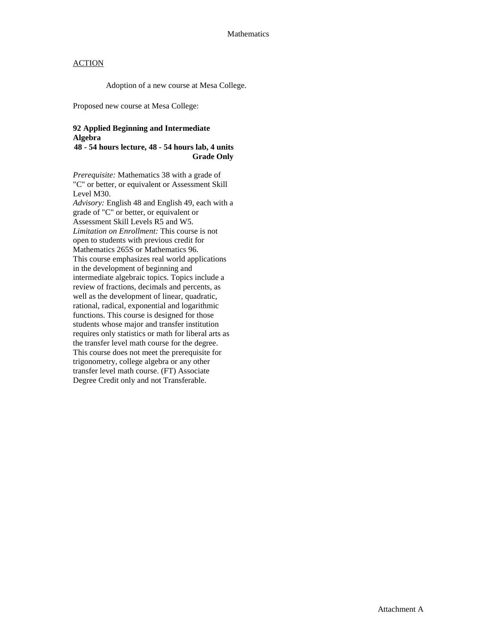Adoption of a new course at Mesa College.

Proposed new course at Mesa College:

#### **92 Applied Beginning and Intermediate Algebra**

**48 - 54 hours lecture, 48 - 54 hours lab, 4 units Grade Only**

*Prerequisite:* Mathematics 38 with a grade of "C" or better, or equivalent or Assessment Skill Level M30. *Advisory:* English 48 and English 49, each with a grade of "C" or better, or equivalent or Assessment Skill Levels R5 and W5. *Limitation on Enrollment:* This course is not open to students with previous credit for Mathematics 265S or Mathematics 96. This course emphasizes real world applications in the development of beginning and intermediate algebraic topics. Topics include a review of fractions, decimals and percents, as well as the development of linear, quadratic, rational, radical, exponential and logarithmic functions. This course is designed for those students whose major and transfer institution requires only statistics or math for liberal arts as the transfer level math course for the degree. This course does not meet the prerequisite for trigonometry, college algebra or any other transfer level math course. (FT) Associate Degree Credit only and not Transferable.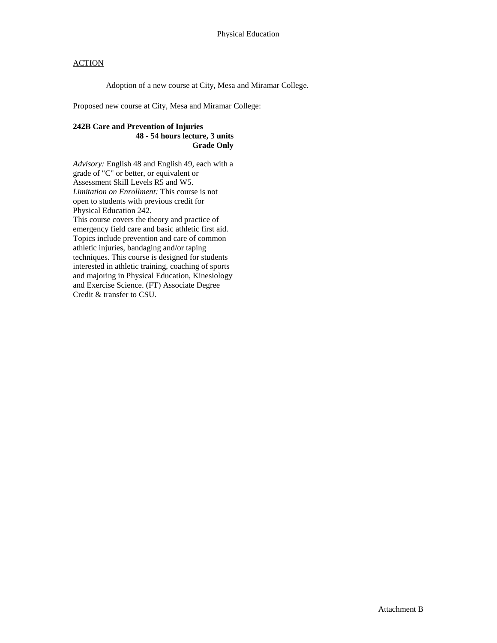Adoption of a new course at City, Mesa and Miramar College.

Proposed new course at City, Mesa and Miramar College:

#### **242B Care and Prevention of Injuries 48 - 54 hours lecture, 3 units Grade Only**

*Advisory:* English 48 and English 49, each with a grade of "C" or better, or equivalent or Assessment Skill Levels R5 and W5. *Limitation on Enrollment:* This course is not open to students with previous credit for Physical Education 242. This course covers the theory and practice of emergency field care and basic athletic first aid. Topics include prevention and care of common athletic injuries, bandaging and/or taping techniques. This course is designed for students interested in athletic training, coaching of sports and majoring in Physical Education, Kinesiology and Exercise Science. (FT) Associate Degree Credit & transfer to CSU.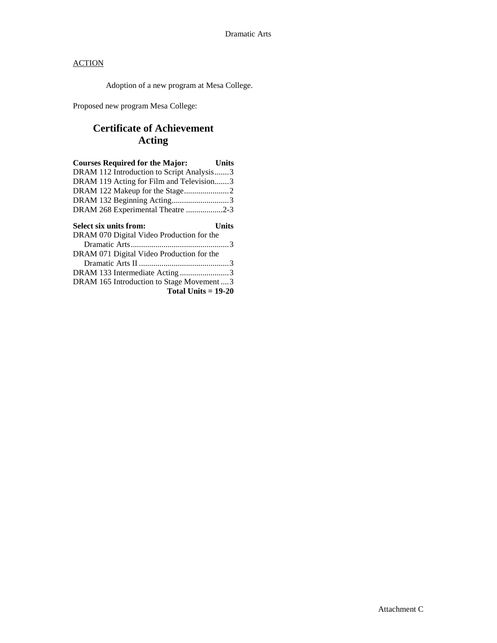Adoption of a new program at Mesa College.

Proposed new program Mesa College:

# **Certificate of Achievement Acting**

| <b>Courses Required for the Major:</b><br>Units |  |
|-------------------------------------------------|--|
| DRAM 112 Introduction to Script Analysis3       |  |
| DRAM 119 Acting for Film and Television3        |  |
| DRAM 122 Makeup for the Stage2                  |  |
| DRAM 132 Beginning Acting3                      |  |
| DRAM 268 Experimental Theatre 2-3               |  |
|                                                 |  |
| Select six units from:<br>Units                 |  |
| DRAM 070 Digital Video Production for the       |  |
|                                                 |  |
| DRAM 071 Digital Video Production for the       |  |
|                                                 |  |
| DRAM 133 Intermediate Acting3                   |  |
| DRAM 165 Introduction to Stage Movement  3      |  |
| Total Units $= 19-20$                           |  |